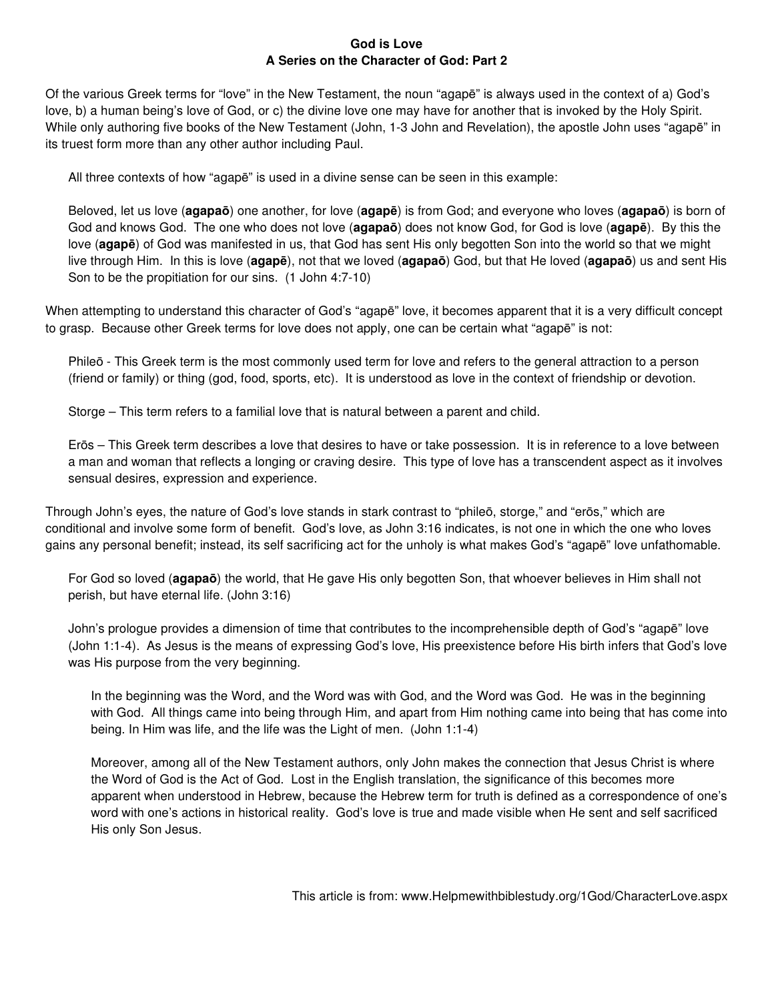# **God is Love A Series on the Character of God: Part 2**

Of the various Greek terms for "love" in the New Testament, the noun "agapē" is always used in the context of a) God's love, b) a human being's love of God, or c) the divine love one may have for another that is invoked by the Holy Spirit. While only authoring five books of the New Testament (John, 1-3 John and Revelation), the apostle John uses "agapē" in its truest form more than any other author including Paul.

All three contexts of how "agapē" is used in a divine sense can be seen in this example:

Beloved, let us love (**agapaō**) one another, for love (**agapē**) is from God; and everyone who loves (**agapaō**) is born of God and knows God. The one who does not love (**agapaō**) does not know God, for God is love (**agapē**). By this the love (**agapē**) of God was manifested in us, that God has sent His only begotten Son into the world so that we might live through Him. In this is love (**agapē**), not that we loved (**agapaō**) God, but that He loved (**agapaō**) us and sent His Son to be the propitiation for our sins. (1 John 4:7-10)

When attempting to understand this character of God's "agapē" love, it becomes apparent that it is a very difficult concept to grasp. Because other Greek terms for love does not apply, one can be certain what "agapē" is not:

Phileō - This Greek term is the most commonly used term for love and refers to the general attraction to a person (friend or family) or thing (god, food, sports, etc). It is understood as love in the context of friendship or devotion.

Storge – This term refers to a familial love that is natural between a parent and child.

Erōs – This Greek term describes a love that desires to have or take possession. It is in reference to a love between a man and woman that reflects a longing or craving desire. This type of love has a transcendent aspect as it involves sensual desires, expression and experience.

Through John's eyes, the nature of God's love stands in stark contrast to "phileō, storge," and "erōs," which are conditional and involve some form of benefit. God's love, as John 3:16 indicates, is not one in which the one who loves gains any personal benefit; instead, its self sacrificing act for the unholy is what makes God's "agapē" love unfathomable.

For God so loved (**agapaō**) the world, that He gave His only begotten Son, that whoever believes in Him shall not perish, but have eternal life. (John 3:16)

John's prologue provides a dimension of time that contributes to the incomprehensible depth of God's "agapē" love (John 1:1-4). As Jesus is the means of expressing God's love, His preexistence before His birth infers that God's love was His purpose from the very beginning.

In the beginning was the Word, and the Word was with God, and the Word was God. He was in the beginning with God. All things came into being through Him, and apart from Him nothing came into being that has come into being. In Him was life, and the life was the Light of men. (John 1:1-4)

Moreover, among all of the New Testament authors, only John makes the connection that Jesus Christ is where the Word of God is the Act of God. Lost in the English translation, the significance of this becomes more apparent when understood in Hebrew, because the Hebrew term for truth is defined as a correspondence of one's word with one's actions in historical reality. God's love is true and made visible when He sent and self sacrificed His only Son Jesus.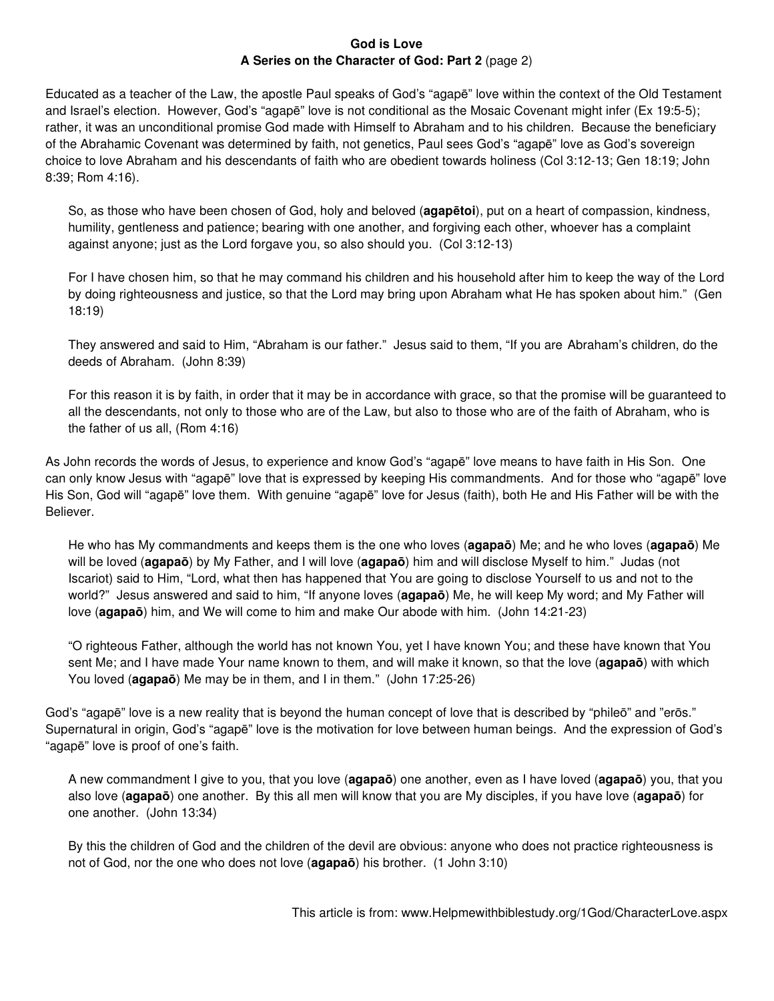## **God is Love A Series on the Character of God: Part 2** (page 2)

Educated as a teacher of the Law, the apostle Paul speaks of God's "agapē" love within the context of the Old Testament and Israel's election. However, God's "agapē" love is not conditional as the Mosaic Covenant might infer (Ex 19:5-5); rather, it was an unconditional promise God made with Himself to Abraham and to his children. Because the beneficiary of the Abrahamic Covenant was determined by faith, not genetics, Paul sees God's "agapē" love as God's sovereign choice to love Abraham and his descendants of faith who are obedient towards holiness (Col 3:12-13; Gen 18:19; John 8:39; Rom 4:16).

So, as those who have been chosen of God, holy and beloved (**agapētoi**), put on a heart of compassion, kindness, humility, gentleness and patience; bearing with one another, and forgiving each other, whoever has a complaint against anyone; just as the Lord forgave you, so also should you. (Col 3:12-13)

For I have chosen him, so that he may command his children and his household after him to keep the way of the Lord by doing righteousness and justice, so that the Lord may bring upon Abraham what He has spoken about him." (Gen 18:19)

They answered and said to Him, "Abraham is our father." Jesus said to them, "If you are Abraham's children, do the deeds of Abraham. (John 8:39)

For this reason it is by faith, in order that it may be in accordance with grace, so that the promise will be guaranteed to all the descendants, not only to those who are of the Law, but also to those who are of the faith of Abraham, who is the father of us all, (Rom 4:16)

As John records the words of Jesus, to experience and know God's "agapē" love means to have faith in His Son. One can only know Jesus with "agapē" love that is expressed by keeping His commandments. And for those who "agapē" love His Son, God will "agapē" love them. With genuine "agapē" love for Jesus (faith), both He and His Father will be with the Believer.

He who has My commandments and keeps them is the one who loves (**agapaō**) Me; and he who loves (**agapaō**) Me will be loved (**agapaō**) by My Father, and I will love (**agapaō**) him and will disclose Myself to him." Judas (not Iscariot) said to Him, "Lord, what then has happened that You are going to disclose Yourself to us and not to the world?" Jesus answered and said to him, "If anyone loves (**agapaō**) Me, he will keep My word; and My Father will love (**agapaō**) him, and We will come to him and make Our abode with him. (John 14:21-23)

"O righteous Father, although the world has not known You, yet I have known You; and these have known that You sent Me; and I have made Your name known to them, and will make it known, so that the love (**agapaō**) with which You loved (**agapaō**) Me may be in them, and I in them." (John 17:25-26)

God's "agapē" love is a new reality that is beyond the human concept of love that is described by "phileō" and "erōs." Supernatural in origin, God's "agapē" love is the motivation for love between human beings. And the expression of God's "agapē" love is proof of one's faith.

A new commandment I give to you, that you love (**agapaō**) one another, even as I have loved (**agapaō**) you, that you also love (**agapaō**) one another. By this all men will know that you are My disciples, if you have love (**agapaō**) for one another. (John 13:34)

By this the children of God and the children of the devil are obvious: anyone who does not practice righteousness is not of God, nor the one who does not love (**agapaō**) his brother. (1 John 3:10)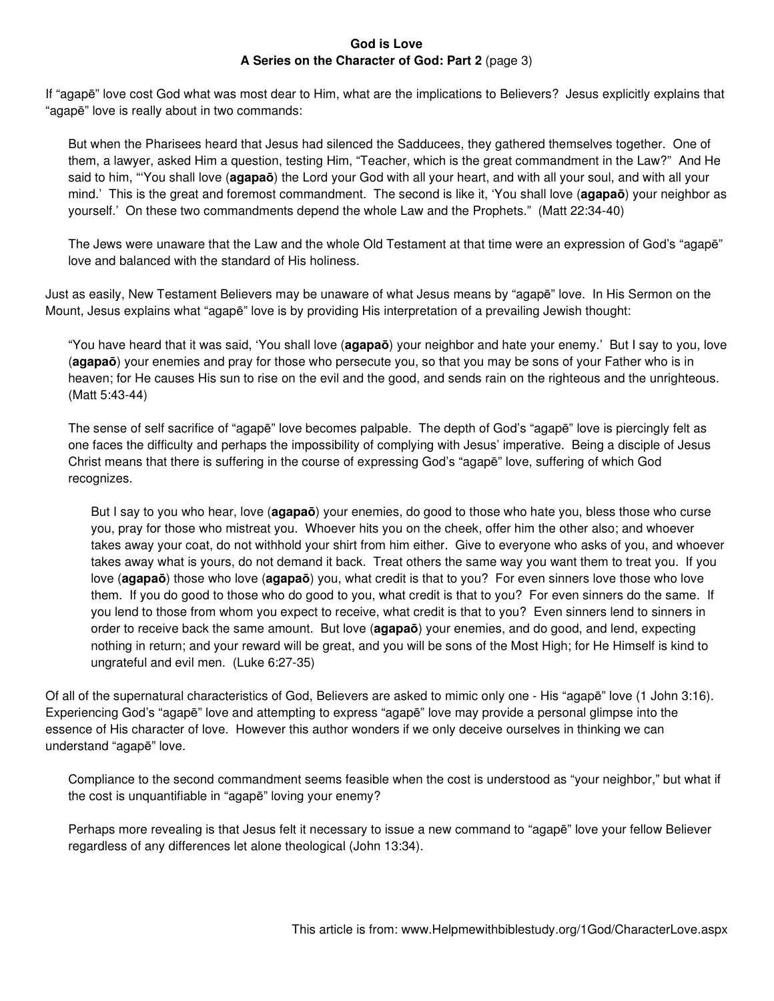### **God is Love A Series on the Character of God: Part 2** (page 3)

If "agapē" love cost God what was most dear to Him, what are the implications to Believers? Jesus explicitly explains that "agapē" love is really about in two commands:

But when the Pharisees heard that Jesus had silenced the Sadducees, they gathered themselves together. One of them, a lawyer, asked Him a question, testing Him, "Teacher, which is the great commandment in the Law?" And He said to him, "'You shall love (**agapaō**) the Lord your God with all your heart, and with all your soul, and with all your mind.' This is the great and foremost commandment. The second is like it, 'You shall love (**agapaō**) your neighbor as yourself.' On these two commandments depend the whole Law and the Prophets." (Matt 22:34-40)

The Jews were unaware that the Law and the whole Old Testament at that time were an expression of God's "agapē" love and balanced with the standard of His holiness.

Just as easily, New Testament Believers may be unaware of what Jesus means by "agapē" love. In His Sermon on the Mount, Jesus explains what "agapē" love is by providing His interpretation of a prevailing Jewish thought:

"You have heard that it was said, 'You shall love (**agapaō**) your neighbor and hate your enemy.' But I say to you, love (**agapaō**) your enemies and pray for those who persecute you, so that you may be sons of your Father who is in heaven; for He causes His sun to rise on the evil and the good, and sends rain on the righteous and the unrighteous. (Matt 5:43-44)

The sense of self sacrifice of "agapē" love becomes palpable. The depth of God's "agapē" love is piercingly felt as one faces the difficulty and perhaps the impossibility of complying with Jesus' imperative. Being a disciple of Jesus Christ means that there is suffering in the course of expressing God's "agapē" love, suffering of which God recognizes.

But I say to you who hear, love (**agapaō**) your enemies, do good to those who hate you, bless those who curse you, pray for those who mistreat you. Whoever hits you on the cheek, offer him the other also; and whoever takes away your coat, do not withhold your shirt from him either. Give to everyone who asks of you, and whoever takes away what is yours, do not demand it back. Treat others the same way you want them to treat you. If you love (**agapaō**) those who love (**agapaō**) you, what credit is that to you? For even sinners love those who love them. If you do good to those who do good to you, what credit is that to you? For even sinners do the same. If you lend to those from whom you expect to receive, what credit is that to you? Even sinners lend to sinners in order to receive back the same amount. But love (**agapaō**) your enemies, and do good, and lend, expecting nothing in return; and your reward will be great, and you will be sons of the Most High; for He Himself is kind to ungrateful and evil men. (Luke 6:27-35)

Of all of the supernatural characteristics of God, Believers are asked to mimic only one - His "agapē" love (1 John 3:16). Experiencing God's "agapē" love and attempting to express "agapē" love may provide a personal glimpse into the essence of His character of love. However this author wonders if we only deceive ourselves in thinking we can understand "agapē" love.

Compliance to the second commandment seems feasible when the cost is understood as "your neighbor," but what if the cost is unquantifiable in "agapē" loving your enemy?

Perhaps more revealing is that Jesus felt it necessary to issue a new command to "agapē" love your fellow Believer regardless of any differences let alone theological (John 13:34).